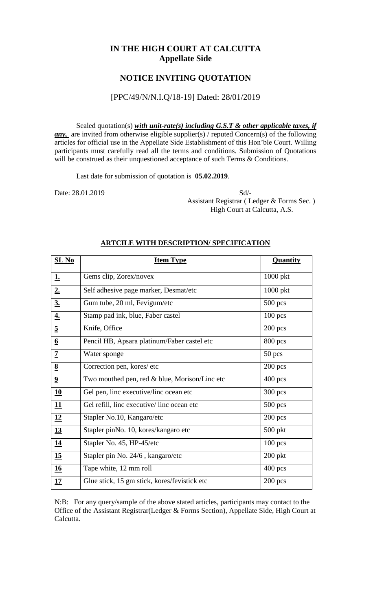## **IN THE HIGH COURT AT CALCUTTA Appellate Side**

## **NOTICE INVITING QUOTATION**

### [PPC/49/N/N.I.Q/18-19] Dated: 28/01/2019

Sealed quotation(s) *with unit-rate(s) including G.S.T & other applicable taxes, if any*, are invited from otherwise eligible supplier(s) / reputed Concern(s) of the following articles for official use in the Appellate Side Establishment of this Hon'ble Court. Willing participants must carefully read all the terms and conditions. Submission of Quotations will be construed as their unquestioned acceptance of such Terms & Conditions.

Last date for submission of quotation is **05.02.2019**.

Date: 28.01.2019 Sd/- Assistant Registrar ( Ledger & Forms Sec. ) High Court at Calcutta, A.S.

| $SL$ No           | <b>Item Type</b>                              | <b>Quantity</b> |
|-------------------|-----------------------------------------------|-----------------|
| <u>1.</u>         | Gems clip, Zorex/novex                        | $1000$ pkt      |
| 2.                | Self adhesive page marker, Desmat/etc         | 1000 pkt        |
| $\underline{3}$ . | Gum tube, 20 ml, Fevigum/etc                  | $500$ pcs       |
| $\overline{4}$ .  | Stamp pad ink, blue, Faber castel             | $100$ pcs       |
| $\overline{5}$    | Knife, Office                                 | $200$ pcs       |
| $\underline{6}$   | Pencil HB, Apsara platinum/Faber castel etc   | 800 pcs         |
| $\overline{1}$    | Water sponge                                  | 50 pcs          |
| $\underline{8}$   | Correction pen, kores/etc                     | $200$ pcs       |
| $\overline{2}$    | Two mouthed pen, red & blue, Morison/Linc etc | $400$ pcs       |
| 10                | Gel pen, linc executive/linc ocean etc        | $300$ pcs       |
| 11                | Gel refill, linc executive/linc ocean etc     | $500$ pcs       |
| <u>12</u>         | Stapler No.10, Kangaro/etc                    | $200$ pcs       |
| <u>13</u>         | Stapler pinNo. 10, kores/kangaro etc          | 500 pkt         |
| <u>14</u>         | Stapler No. 45, HP-45/etc                     | $100$ pcs       |
| 15                | Stapler pin No. 24/6, kangaro/etc             | $200$ pkt       |
| 16                | Tape white, 12 mm roll                        | $400$ pcs       |
| 17                | Glue stick, 15 gm stick, kores/fevistick etc  | $200$ pcs       |

#### **ARTCILE WITH DESCRIPTION/ SPECIFICATION**

N:B: For any query/sample of the above stated articles, participants may contact to the Office of the Assistant Registrar(Ledger & Forms Section), Appellate Side, High Court at Calcutta.